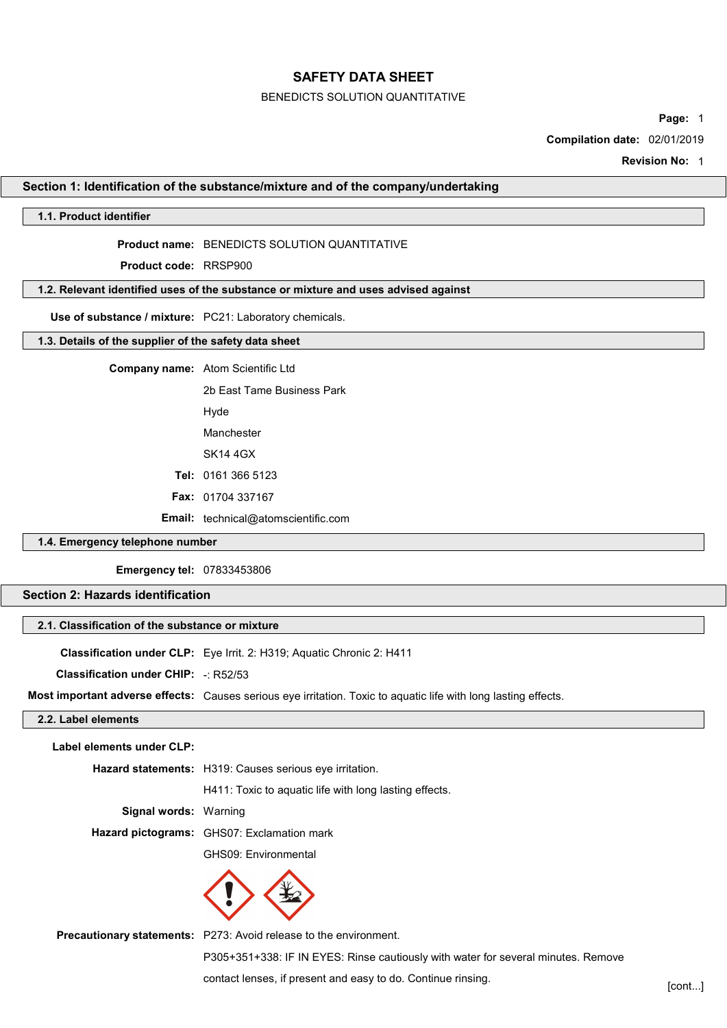#### BENEDICTS SOLUTION QUANTITATIVE

Page: 1

Compilation date: 02/01/2019

Revision No: 1

#### Section 1: Identification of the substance/mixture and of the company/undertaking

# 1.1. Product identifier

# Product name: BENEDICTS SOLUTION QUANTITATIVE

Product code: RRSP900

#### 1.2. Relevant identified uses of the substance or mixture and uses advised against

Use of substance / mixture: PC21: Laboratory chemicals.

#### 1.3. Details of the supplier of the safety data sheet

| <b>Company name:</b> Atom Scientific Ltd   |  |  |
|--------------------------------------------|--|--|
| 2b Fast Tame Business Park                 |  |  |
| Hyde                                       |  |  |
| Manchester                                 |  |  |
| SK14 4GX                                   |  |  |
| <b>Tel: 0161 366 5123</b>                  |  |  |
| <b>Fax: 01704 337167</b>                   |  |  |
| <b>Email:</b> technical@atomscientific.com |  |  |

#### 1.4. Emergency telephone number

Emergency tel: 07833453806

# Section 2: Hazards identification

# 2.1. Classification of the substance or mixture

Classification under CLP: Eye Irrit. 2: H319; Aquatic Chronic 2: H411

Classification under CHIP: -: R52/53

Most important adverse effects: Causes serious eye irritation. Toxic to aquatic life with long lasting effects.

#### 2.2. Label elements

Label elements under CLP:

Hazard statements: H319: Causes serious eye irritation.

H411: Toxic to aquatic life with long lasting effects.

Signal words: Warning

Hazard pictograms: GHS07: Exclamation mark

GHS09: Environmental



Precautionary statements: P273: Avoid release to the environment.

P305+351+338: IF IN EYES: Rinse cautiously with water for several minutes. Remove

contact lenses, if present and easy to do. Continue rinsing. [cont...]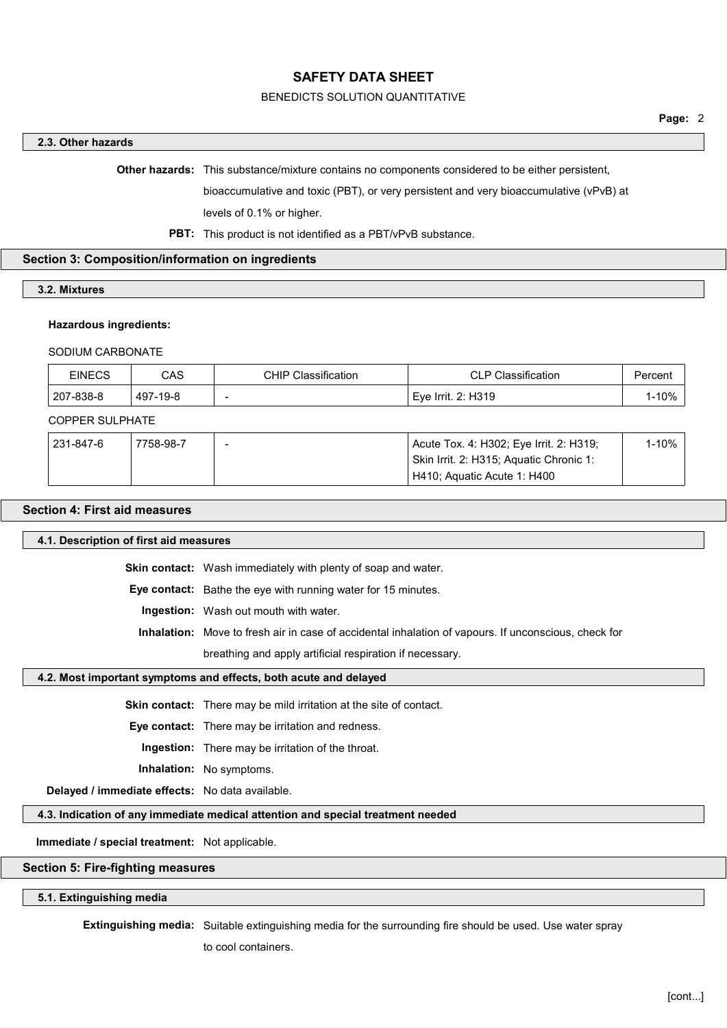## BENEDICTS SOLUTION QUANTITATIVE

## 2.3. Other hazards

Other hazards: This substance/mixture contains no components considered to be either persistent,

bioaccumulative and toxic (PBT), or very persistent and very bioaccumulative (vPvB) at

levels of 0.1% or higher.

# PBT: This product is not identified as a PBT/vPvB substance.

# Section 3: Composition/information on ingredients

3.2. Mixtures

#### Hazardous ingredients:

#### SODIUM CARBONATE

| <b>EINECS</b> | CAS      | <b>CHIP Classification</b> | <b>CLP Classification</b> | ' <sup>∍</sup> ercenเ |
|---------------|----------|----------------------------|---------------------------|-----------------------|
| 207-838-8     | 497-19-8 | $\sim$                     | Eve Irrit. 2: H319        | 1-10%                 |

#### COPPER SULPHATE

| 231-847-6 | 7758-98-7 | Acute Tox. 4: H302; Eye Irrit. 2: H319; | 1-10% |
|-----------|-----------|-----------------------------------------|-------|
|           |           | Skin Irrit. 2: H315; Aquatic Chronic 1: |       |
|           |           | H410; Aquatic Acute 1: H400             |       |

# Section 4: First aid measures

# 4.1. Description of first aid measures

Skin contact: Wash immediately with plenty of soap and water.

Eye contact: Bathe the eye with running water for 15 minutes.

Ingestion: Wash out mouth with water.

Inhalation: Move to fresh air in case of accidental inhalation of vapours. If unconscious, check for

breathing and apply artificial respiration if necessary.

#### 4.2. Most important symptoms and effects, both acute and delayed

Skin contact: There may be mild irritation at the site of contact.

Eye contact: There may be irritation and redness.

Ingestion: There may be irritation of the throat.

Inhalation: No symptoms.

Delayed / immediate effects: No data available.

# 4.3. Indication of any immediate medical attention and special treatment needed

Immediate / special treatment: Not applicable.

# Section 5: Fire-fighting measures

#### 5.1. Extinguishing media

Extinguishing media: Suitable extinguishing media for the surrounding fire should be used. Use water spray

to cool containers.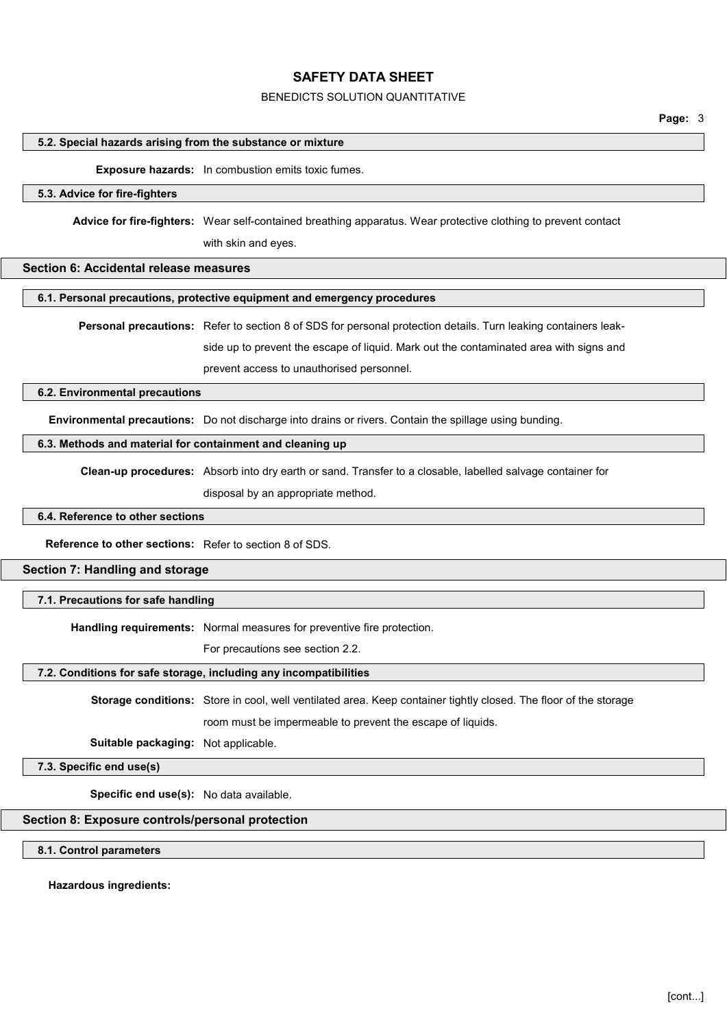# BENEDICTS SOLUTION QUANTITATIVE

#### 5.2. Special hazards arising from the substance or mixture

## Exposure hazards: In combustion emits toxic fumes.

# 5.3. Advice for fire-fighters

Advice for fire-fighters: Wear self-contained breathing apparatus. Wear protective clothing to prevent contact

with skin and eyes.

# Section 6: Accidental release measures

#### 6.1. Personal precautions, protective equipment and emergency procedures

Personal precautions: Refer to section 8 of SDS for personal protection details. Turn leaking containers leakside up to prevent the escape of liquid. Mark out the contaminated area with signs and

prevent access to unauthorised personnel.

#### 6.2. Environmental precautions

Environmental precautions: Do not discharge into drains or rivers. Contain the spillage using bunding.

#### 6.3. Methods and material for containment and cleaning up

Clean-up procedures: Absorb into dry earth or sand. Transfer to a closable, labelled salvage container for disposal by an appropriate method.

#### 6.4. Reference to other sections

Reference to other sections: Refer to section 8 of SDS.

# Section 7: Handling and storage

#### 7.1. Precautions for safe handling

Handling requirements: Normal measures for preventive fire protection.

For precautions see section 2.2.

## 7.2. Conditions for safe storage, including any incompatibilities

Storage conditions: Store in cool, well ventilated area. Keep container tightly closed. The floor of the storage

room must be impermeable to prevent the escape of liquids.

Suitable packaging: Not applicable.

# 7.3. Specific end use(s)

Specific end use(s): No data available.

# Section 8: Exposure controls/personal protection

# 8.1. Control parameters

#### Hazardous ingredients: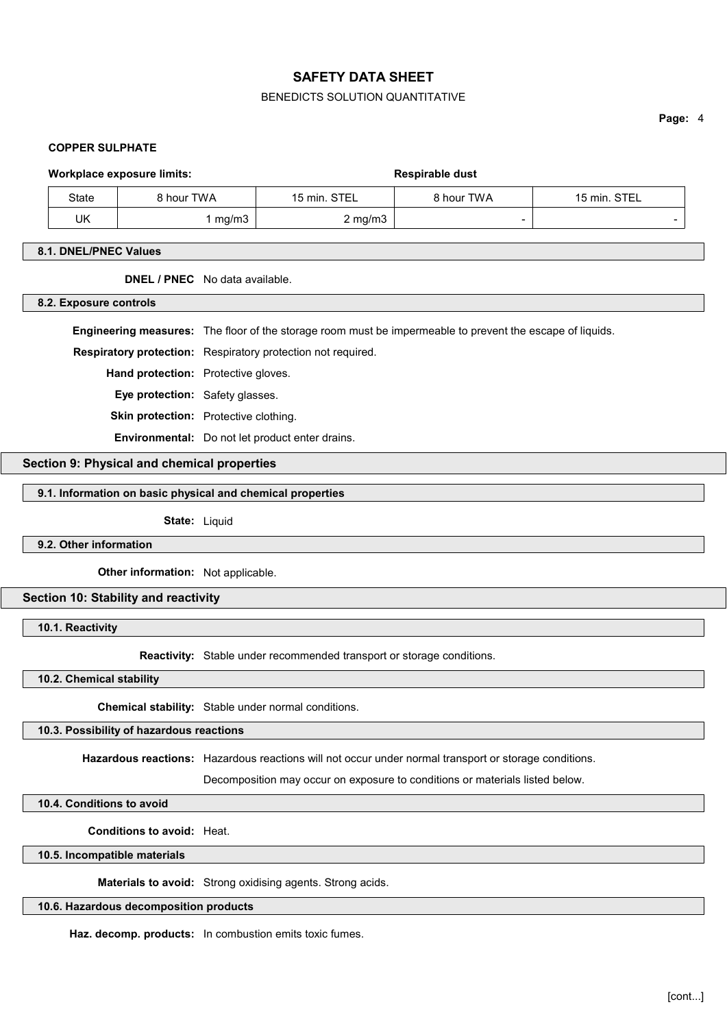# BENEDICTS SOLUTION QUANTITATIVE

Page: 4

# COPPER SULPHATE

# Workplace exposure limits:  $\qquad \qquad$  Respirable dust

| State | 3 hour TWA | 15 min. STEL | 8 hour TWA | 15 min. STEL |
|-------|------------|--------------|------------|--------------|
| UK    | mg/m3      | $2$ mg/m $3$ |            |              |

# 8.1. DNEL/PNEC Values

# DNEL / PNEC No data available.

#### 8.2. Exposure controls

Engineering measures: The floor of the storage room must be impermeable to prevent the escape of liquids.

Respiratory protection: Respiratory protection not required.

Hand protection: Protective gloves.

Eye protection: Safety glasses.

Skin protection: Protective clothing.

Environmental: Do not let product enter drains.

## Section 9: Physical and chemical properties

#### 9.1. Information on basic physical and chemical properties

State: Liquid

9.2. Other information

**Other information:** Not applicable.

# Section 10: Stability and reactivity

10.1. Reactivity

Reactivity: Stable under recommended transport or storage conditions.

10.2. Chemical stability

Chemical stability: Stable under normal conditions.

#### 10.3. Possibility of hazardous reactions

Hazardous reactions: Hazardous reactions will not occur under normal transport or storage conditions.

Decomposition may occur on exposure to conditions or materials listed below.

10.4. Conditions to avoid

Conditions to avoid: Heat.

10.5. Incompatible materials

Materials to avoid: Strong oxidising agents. Strong acids.

# 10.6. Hazardous decomposition products

Haz. decomp. products: In combustion emits toxic fumes.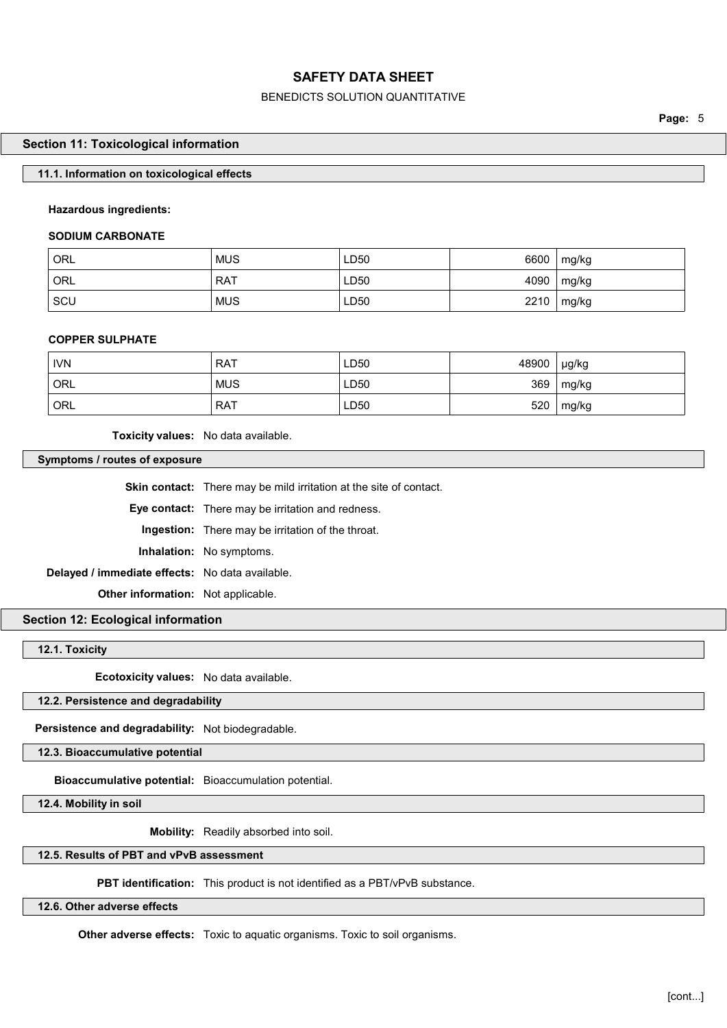# BENEDICTS SOLUTION QUANTITATIVE

Page: 5

#### Section 11: Toxicological information

## 11.1. Information on toxicological effects

## Hazardous ingredients:

## SODIUM CARBONATE

| <b>ORL</b> | <b>MUS</b> | LD50 | 6600 | mg/kg |
|------------|------------|------|------|-------|
| ORL        | RAT        | LD50 | 4090 | mg/kg |
| SCU        | <b>MUS</b> | LD50 | 2210 | mg/kg |

#### COPPER SULPHATE

| <b>IVN</b> | <b>RAT</b> | LD50 | 48900 | µg/kg |
|------------|------------|------|-------|-------|
| ORL        | <b>MUS</b> | LD50 | 369   | mg/kg |
| ORL        | <b>RAT</b> | LD50 | 520   | mg/kg |

Toxicity values: No data available.

## Symptoms / routes of exposure

Skin contact: There may be mild irritation at the site of contact. Eye contact: There may be irritation and redness. Ingestion: There may be irritation of the throat. Inhalation: No symptoms. Delayed / immediate effects: No data available. **Other information:** Not applicable.

# Section 12: Ecological information

12.1. Toxicity

Ecotoxicity values: No data available.

12.2. Persistence and degradability

Persistence and degradability: Not biodegradable.

12.3. Bioaccumulative potential

Bioaccumulative potential: Bioaccumulation potential.

12.4. Mobility in soil

Mobility: Readily absorbed into soil.

#### 12.5. Results of PBT and vPvB assessment

PBT identification: This product is not identified as a PBT/vPvB substance.

12.6. Other adverse effects

Other adverse effects: Toxic to aquatic organisms. Toxic to soil organisms.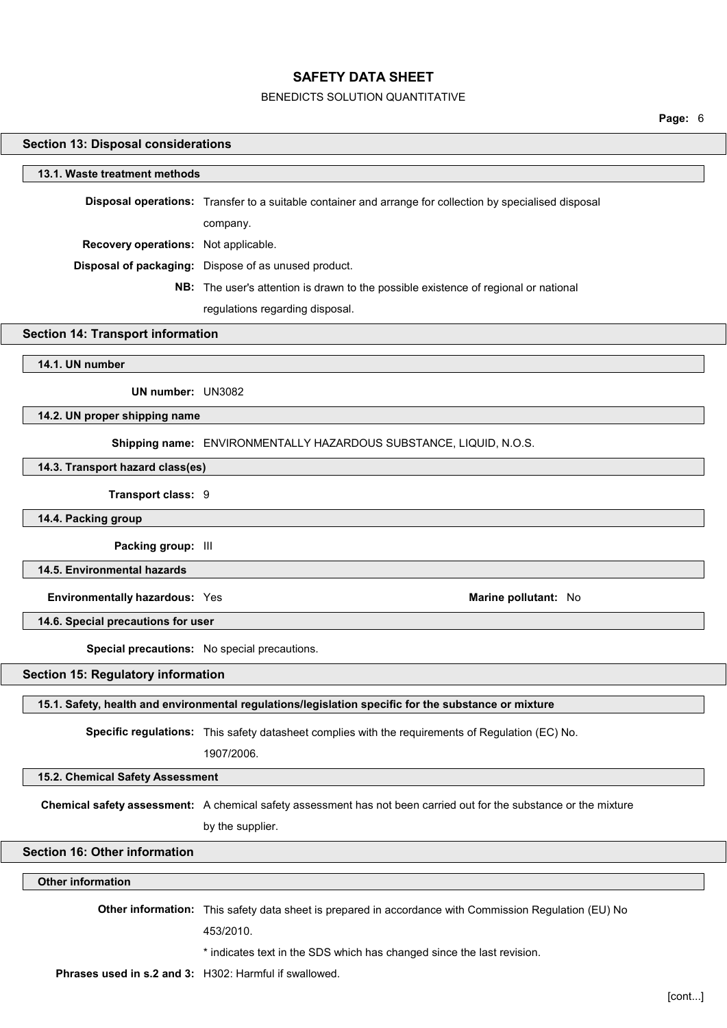## BENEDICTS SOLUTION QUANTITATIVE

Page: 6

# Section 13: Disposal considerations 13.1. Waste treatment methods Disposal operations: Transfer to a suitable container and arrange for collection by specialised disposal company. Recovery operations: Not applicable. Disposal of packaging: Dispose of as unused product. NB: The user's attention is drawn to the possible existence of regional or national regulations regarding disposal. Section 14: Transport information 14.1. UN number UN number: UN3082 14.2. UN proper shipping name Shipping name: ENVIRONMENTALLY HAZARDOUS SUBSTANCE, LIQUID, N.O.S. 14.3. Transport hazard class(es) Transport class: 9 14.4. Packing group Packing group: III 14.5. Environmental hazards Environmentally hazardous: Yes Marine pollutant: No 14.6. Special precautions for user Special precautions: No special precautions. Section 15: Regulatory information 15.1. Safety, health and environmental regulations/legislation specific for the substance or mixture Specific regulations: This safety datasheet complies with the requirements of Regulation (EC) No. 1907/2006. 15.2. Chemical Safety Assessment Chemical safety assessment: A chemical safety assessment has not been carried out for the substance or the mixture by the supplier. Section 16: Other information Other information Other information: This safety data sheet is prepared in accordance with Commission Regulation (EU) No 453/2010. \* indicates text in the SDS which has changed since the last revision.

Phrases used in s.2 and 3: H302: Harmful if swallowed.